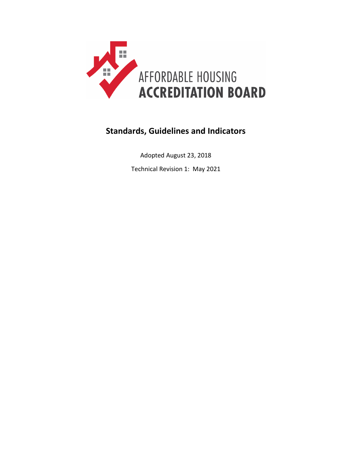

# **Standards, Guidelines and Indicators**

Adopted August 23, 2018

Technical Revision 1: May 2021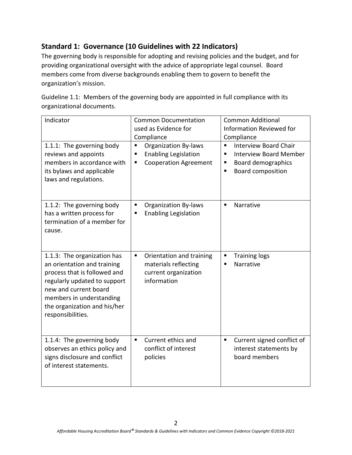# **Standard 1: Governance (10 Guidelines with 22 Indicators)**

The governing body is responsible for adopting and revising policies and the budget, and for providing organizational oversight with the advice of appropriate legal counsel. Board members come from diverse backgrounds enabling them to govern to benefit the organization's mission.

Guideline 1.1: Members of the governing body are appointed in full compliance with its organizational documents.

| Indicator                                                                                                                                                                                                                            | <b>Common Documentation</b><br>used as Evidence for<br>Compliance<br>٠                               | <b>Common Additional</b><br><b>Information Reviewed for</b><br>Compliance<br><b>Interview Board Chair</b><br>$\blacksquare$ |
|--------------------------------------------------------------------------------------------------------------------------------------------------------------------------------------------------------------------------------------|------------------------------------------------------------------------------------------------------|-----------------------------------------------------------------------------------------------------------------------------|
| 1.1.1: The governing body<br>reviews and appoints<br>members in accordance with<br>its bylaws and applicable<br>laws and regulations.                                                                                                | <b>Organization By-laws</b><br><b>Enabling Legislation</b><br>п<br><b>Cooperation Agreement</b><br>п | <b>Interview Board Member</b><br>$\blacksquare$<br>Board demographics<br>٠<br><b>Board composition</b><br>п                 |
| 1.1.2: The governing body<br>has a written process for<br>termination of a member for<br>cause.                                                                                                                                      | <b>Organization By-laws</b><br>п<br><b>Enabling Legislation</b><br>ш                                 | Narrative<br>$\blacksquare$                                                                                                 |
| 1.1.3: The organization has<br>an orientation and training<br>process that is followed and<br>regularly updated to support<br>new and current board<br>members in understanding<br>the organization and his/her<br>responsibilities. | Orientation and training<br>п<br>materials reflecting<br>current organization<br>information         | $\blacksquare$<br><b>Training logs</b><br>Narrative<br>п                                                                    |
| 1.1.4: The governing body<br>observes an ethics policy and<br>signs disclosure and conflict<br>of interest statements.                                                                                                               | Current ethics and<br>conflict of interest<br>policies                                               | Current signed conflict of<br>$\blacksquare$<br>interest statements by<br>board members                                     |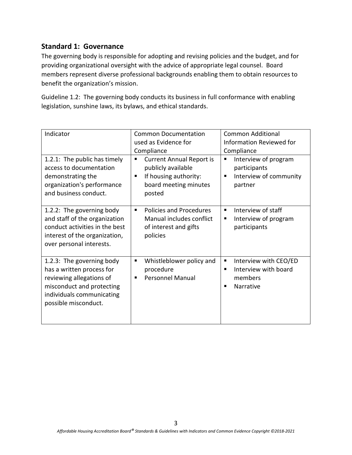The governing body is responsible for adopting and revising policies and the budget, and for providing organizational oversight with the advice of appropriate legal counsel. Board members represent diverse professional backgrounds enabling them to obtain resources to benefit the organization's mission.

Guideline 1.2: The governing body conducts its business in full conformance with enabling legislation, sunshine laws, its bylaws, and ethical standards.

| Indicator                                                                                                                                                            | <b>Common Documentation</b>                                                                                                 | <b>Common Additional</b>                                                             |
|----------------------------------------------------------------------------------------------------------------------------------------------------------------------|-----------------------------------------------------------------------------------------------------------------------------|--------------------------------------------------------------------------------------|
|                                                                                                                                                                      | used as Evidence for                                                                                                        | Information Reviewed for                                                             |
|                                                                                                                                                                      | Compliance                                                                                                                  | Compliance                                                                           |
| 1.2.1: The public has timely<br>access to documentation<br>demonstrating the<br>organization's performance<br>and business conduct.                                  | <b>Current Annual Report is</b><br>٠<br>publicly available<br>If housing authority:<br>п<br>board meeting minutes<br>posted | Interview of program<br>٠<br>participants<br>Interview of community<br>п<br>partner  |
| 1.2.2: The governing body<br>and staff of the organization<br>conduct activities in the best<br>interest of the organization,<br>over personal interests.            | Policies and Procedures<br>٠<br>Manual includes conflict<br>of interest and gifts<br>policies                               | Interview of staff<br>٠<br>Interview of program<br>п<br>participants                 |
| 1.2.3: The governing body<br>has a written process for<br>reviewing allegations of<br>misconduct and protecting<br>individuals communicating<br>possible misconduct. | Whistleblower policy and<br>п<br>procedure<br><b>Personnel Manual</b><br>п                                                  | Interview with CEO/ED<br>٠<br>Interview with board<br>٠<br>members<br>Narrative<br>п |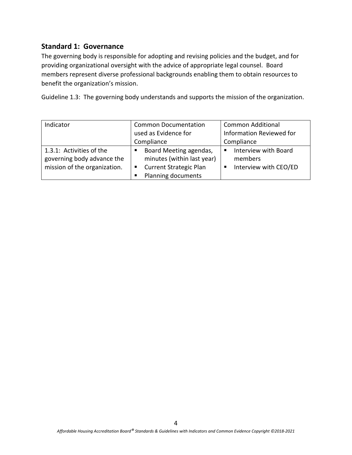The governing body is responsible for adopting and revising policies and the budget, and for providing organizational oversight with the advice of appropriate legal counsel. Board members represent diverse professional backgrounds enabling them to obtain resources to benefit the organization's mission.

Guideline 1.3: The governing body understands and supports the mission of the organization.

| Indicator                    | <b>Common Documentation</b>        | <b>Common Additional</b>   |
|------------------------------|------------------------------------|----------------------------|
|                              | used as Evidence for               | Information Reviewed for   |
|                              | Compliance                         | Compliance                 |
| 1.3.1: Activities of the     | Board Meeting agendas,             | Interview with Board       |
| governing body advance the   | minutes (within last year)         | members                    |
| mission of the organization. | <b>Current Strategic Plan</b><br>ш | Interview with CEO/ED<br>п |
|                              | Planning documents                 |                            |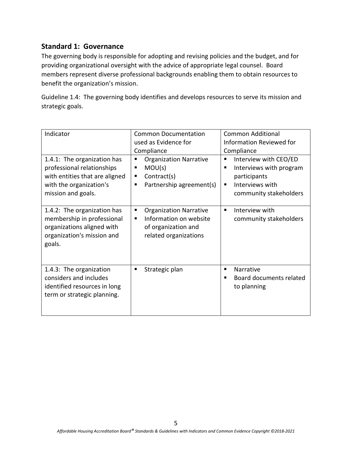The governing body is responsible for adopting and revising policies and the budget, and for providing organizational oversight with the advice of appropriate legal counsel. Board members represent diverse professional backgrounds enabling them to obtain resources to benefit the organization's mission.

Guideline 1.4: The governing body identifies and develops resources to serve its mission and strategic goals.

| Indicator                                                                                                                                    | <b>Common Documentation</b>                                                                                       | <b>Common Additional</b>                                                                                                |
|----------------------------------------------------------------------------------------------------------------------------------------------|-------------------------------------------------------------------------------------------------------------------|-------------------------------------------------------------------------------------------------------------------------|
|                                                                                                                                              | used as Evidence for                                                                                              | <b>Information Reviewed for</b>                                                                                         |
|                                                                                                                                              | Compliance                                                                                                        | Compliance                                                                                                              |
| 1.4.1: The organization has<br>professional relationships<br>with entities that are aligned<br>with the organization's<br>mission and goals. | <b>Organization Narrative</b><br>٠<br>MOU(s)<br>Contract(s)<br>п<br>Partnership agreement(s)<br>٠                 | Interview with CEO/ED<br>п<br>Interviews with program<br>participants<br>Interviews with<br>п<br>community stakeholders |
| 1.4.2: The organization has<br>membership in professional<br>organizations aligned with<br>organization's mission and<br>goals.              | <b>Organization Narrative</b><br>٠<br>Information on website<br>п<br>of organization and<br>related organizations | Interview with<br>٠<br>community stakeholders                                                                           |
| 1.4.3: The organization<br>considers and includes<br>identified resources in long<br>term or strategic planning.                             | Strategic plan<br>٠                                                                                               | Narrative<br>п<br>Board documents related<br>to planning                                                                |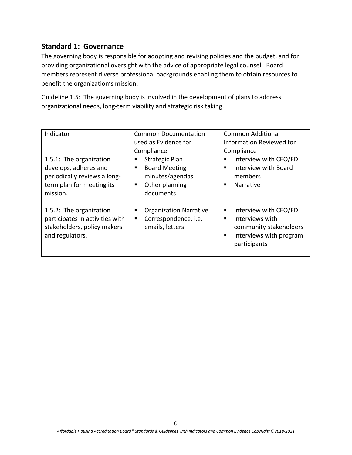The governing body is responsible for adopting and revising policies and the budget, and for providing organizational oversight with the advice of appropriate legal counsel. Board members represent diverse professional backgrounds enabling them to obtain resources to benefit the organization's mission.

Guideline 1.5: The governing body is involved in the development of plans to address organizational needs, long-term viability and strategic risk taking.

| Indicator                                                                                                                 | <b>Common Documentation</b><br>used as Evidence for<br>Compliance                                              | <b>Common Additional</b><br><b>Information Reviewed for</b><br>Compliance                                               |
|---------------------------------------------------------------------------------------------------------------------------|----------------------------------------------------------------------------------------------------------------|-------------------------------------------------------------------------------------------------------------------------|
| 1.5.1: The organization<br>develops, adheres and<br>periodically reviews a long-<br>term plan for meeting its<br>mission. | <b>Strategic Plan</b><br>п<br><b>Board Meeting</b><br>п<br>minutes/agendas<br>Other planning<br>٠<br>documents | Interview with CEO/ED<br>٠<br>Interview with Board<br>members<br><b>Narrative</b>                                       |
| 1.5.2: The organization<br>participates in activities with<br>stakeholders, policy makers<br>and regulators.              | <b>Organization Narrative</b><br>п<br>Correspondence, i.e.<br>٠<br>emails, letters                             | Interview with CEO/ED<br>٠<br>Interviews with<br>community stakeholders<br>Interviews with program<br>٠<br>participants |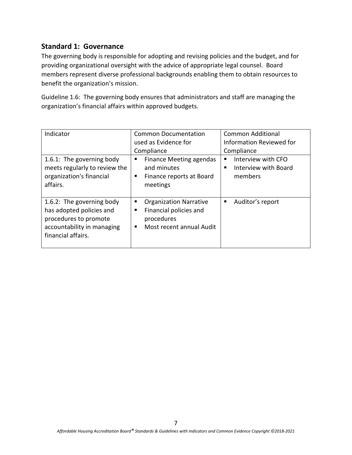The governing body is responsible for adopting and revising policies and the budget, and for providing organizational oversight with the advice of appropriate legal counsel. Board members represent diverse professional backgrounds enabling them to obtain resources to benefit the organization's mission.

Guideline 1.6: The governing body ensures that administrators and staff are managing the organization's financial affairs within approved budgets.

| Indicator<br>1.6.1: The governing body<br>meets regularly to review the<br>organization's financial<br>affairs.                    | <b>Common Documentation</b><br>used as Evidence for<br>Compliance<br><b>Finance Meeting agendas</b><br>and minutes<br>Finance reports at Board<br>٠<br>meetings | <b>Common Additional</b><br><b>Information Reviewed for</b><br>Compliance<br>Interview with CFO<br>Interview with Board<br>members |
|------------------------------------------------------------------------------------------------------------------------------------|-----------------------------------------------------------------------------------------------------------------------------------------------------------------|------------------------------------------------------------------------------------------------------------------------------------|
| 1.6.2: The governing body<br>has adopted policies and<br>procedures to promote<br>accountability in managing<br>financial affairs. | <b>Organization Narrative</b><br>п<br>Financial policies and<br>п<br>procedures<br>Most recent annual Audit                                                     | Auditor's report<br>п                                                                                                              |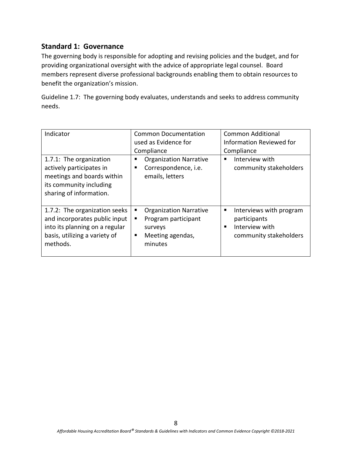The governing body is responsible for adopting and revising policies and the budget, and for providing organizational oversight with the advice of appropriate legal counsel. Board members represent diverse professional backgrounds enabling them to obtain resources to benefit the organization's mission.

Guideline 1.7: The governing body evaluates, understands and seeks to address community needs.

| Indicator                                                                                                                                     | <b>Common Documentation</b><br>used as Evidence for<br>Compliance                                             | <b>Common Additional</b><br><b>Information Reviewed for</b><br>Compliance                     |
|-----------------------------------------------------------------------------------------------------------------------------------------------|---------------------------------------------------------------------------------------------------------------|-----------------------------------------------------------------------------------------------|
| 1.7.1: The organization<br>actively participates in<br>meetings and boards within<br>its community including<br>sharing of information.       | <b>Organization Narrative</b><br>п<br>Correspondence, i.e.<br>emails, letters                                 | Interview with<br>٠<br>community stakeholders                                                 |
| 1.7.2: The organization seeks<br>and incorporates public input<br>into its planning on a regular<br>basis, utilizing a variety of<br>methods. | <b>Organization Narrative</b><br>ш<br>Program participant<br>п<br>surveys<br>Meeting agendas,<br>п<br>minutes | Interviews with program<br>п<br>participants<br>Interview with<br>٠<br>community stakeholders |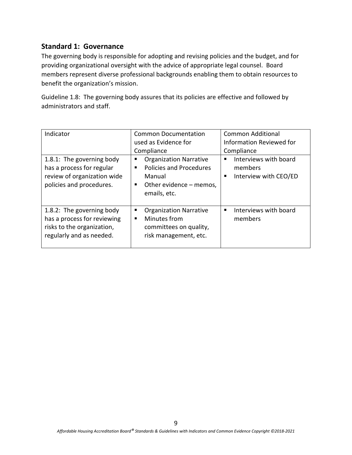The governing body is responsible for adopting and revising policies and the budget, and for providing organizational oversight with the advice of appropriate legal counsel. Board members represent diverse professional backgrounds enabling them to obtain resources to benefit the organization's mission.

Guideline 1.8: The governing body assures that its policies are effective and followed by administrators and staff.

| Indicator<br>1.8.1: The governing body<br>has a process for regular<br>review of organization wide<br>policies and procedures. | <b>Common Documentation</b><br>used as Evidence for<br>Compliance<br><b>Organization Narrative</b><br>٠<br><b>Policies and Procedures</b><br>Manual<br>Other evidence – memos,<br>٠<br>emails, etc. | <b>Common Additional</b><br>Information Reviewed for<br>Compliance<br>Interviews with board<br>п<br>members<br>Interview with CEO/ED<br>٠ |
|--------------------------------------------------------------------------------------------------------------------------------|-----------------------------------------------------------------------------------------------------------------------------------------------------------------------------------------------------|-------------------------------------------------------------------------------------------------------------------------------------------|
| 1.8.2: The governing body<br>has a process for reviewing<br>risks to the organization,<br>regularly and as needed.             | <b>Organization Narrative</b><br>п<br>Minutes from<br>committees on quality,<br>risk management, etc.                                                                                               | Interviews with board<br>п<br>members                                                                                                     |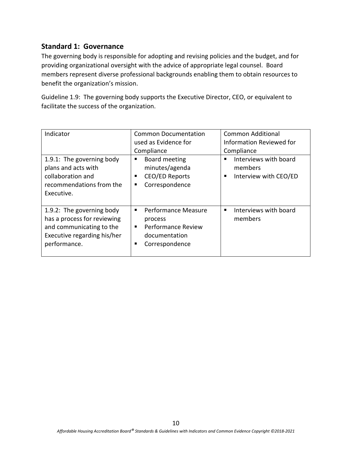The governing body is responsible for adopting and revising policies and the budget, and for providing organizational oversight with the advice of appropriate legal counsel. Board members represent diverse professional backgrounds enabling them to obtain resources to benefit the organization's mission.

Guideline 1.9: The governing body supports the Executive Director, CEO, or equivalent to facilitate the success of the organization.

| Indicator                                                                                                                           | <b>Common Documentation</b><br>used as Evidence for<br>Compliance                                          | <b>Common Additional</b><br><b>Information Reviewed for</b><br>Compliance |
|-------------------------------------------------------------------------------------------------------------------------------------|------------------------------------------------------------------------------------------------------------|---------------------------------------------------------------------------|
| 1.9.1: The governing body<br>plans and acts with<br>collaboration and<br>recommendations from the<br>Executive.                     | Board meeting<br>▪<br>minutes/agenda<br><b>CEO/ED Reports</b><br>٠<br>Correspondence<br>п                  | Interviews with board<br>٠<br>members<br>Interview with CEO/ED<br>п       |
| 1.9.2: The governing body<br>has a process for reviewing<br>and communicating to the<br>Executive regarding his/her<br>performance. | <b>Performance Measure</b><br>process<br><b>Performance Review</b><br>٠<br>documentation<br>Correspondence | Interviews with board<br>members                                          |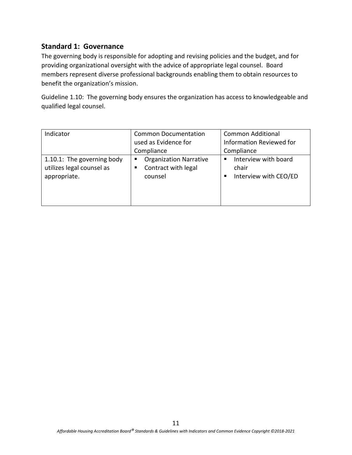The governing body is responsible for adopting and revising policies and the budget, and for providing organizational oversight with the advice of appropriate legal counsel. Board members represent diverse professional backgrounds enabling them to obtain resources to benefit the organization's mission.

Guideline 1.10: The governing body ensures the organization has access to knowledgeable and qualified legal counsel.

| Indicator                                                               | <b>Common Documentation</b><br>used as Evidence for<br>Compliance         | <b>Common Additional</b><br>Information Reviewed for<br>Compliance |
|-------------------------------------------------------------------------|---------------------------------------------------------------------------|--------------------------------------------------------------------|
| 1.10.1: The governing body<br>utilizes legal counsel as<br>appropriate. | <b>Organization Narrative</b><br>ш<br>Contract with legal<br>п<br>counsel | Interview with board<br>п<br>chair<br>Interview with CEO/ED        |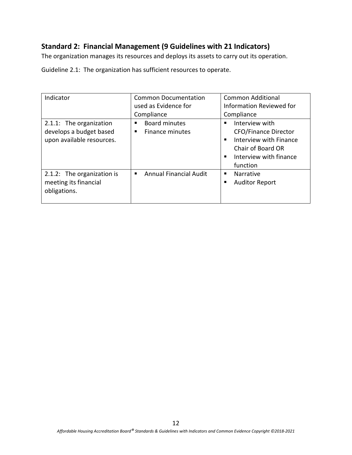# **Standard 2: Financial Management (9 Guidelines with 21 Indicators)**

The organization manages its resources and deploys its assets to carry out its operation.

Guideline 2.1: The organization has sufficient resources to operate.

| Indicator                                                                       | <b>Common Documentation</b><br>used as Evidence for<br>Compliance | Common Additional<br><b>Information Reviewed for</b><br>Compliance                                                                                   |
|---------------------------------------------------------------------------------|-------------------------------------------------------------------|------------------------------------------------------------------------------------------------------------------------------------------------------|
| 2.1.1: The organization<br>develops a budget based<br>upon available resources. | <b>Board minutes</b><br>Finance minutes<br>٠                      | Interview with<br><b>CFO/Finance Director</b><br>Interview with Finance<br>$\blacksquare$<br>Chair of Board OR<br>Interview with finance<br>function |
| 2.1.2: The organization is<br>meeting its financial<br>obligations.             | <b>Annual Financial Audit</b><br>٠                                | <b>Narrative</b><br>п<br><b>Auditor Report</b><br>п                                                                                                  |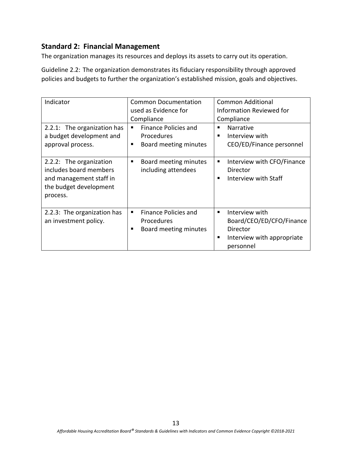The organization manages its resources and deploys its assets to carry out its operation.

Guideline 2.2: The organization demonstrates its fiduciary responsibility through approved policies and budgets to further the organization's established mission, goals and objectives.

| Indicator<br>2.2.1: The organization has<br>a budget development and<br>approval process.                          | <b>Common Documentation</b><br>used as Evidence for<br>Compliance<br><b>Finance Policies and</b><br>٠<br><b>Procedures</b><br>Board meeting minutes | Common Additional<br><b>Information Reviewed for</b><br>Compliance<br><b>Narrative</b><br>п<br>Interview with<br>CEO/ED/Finance personnel |
|--------------------------------------------------------------------------------------------------------------------|-----------------------------------------------------------------------------------------------------------------------------------------------------|-------------------------------------------------------------------------------------------------------------------------------------------|
| 2.2.2: The organization<br>includes board members<br>and management staff in<br>the budget development<br>process. | Board meeting minutes<br>п<br>including attendees                                                                                                   | Interview with CFO/Finance<br>п<br>Director<br>Interview with Staff<br>п                                                                  |
| 2.2.3: The organization has<br>an investment policy.                                                               | Finance Policies and<br>٠<br><b>Procedures</b><br>Board meeting minutes                                                                             | Interview with<br>п<br>Board/CEO/ED/CFO/Finance<br>Director<br>Interview with appropriate<br>п<br>personnel                               |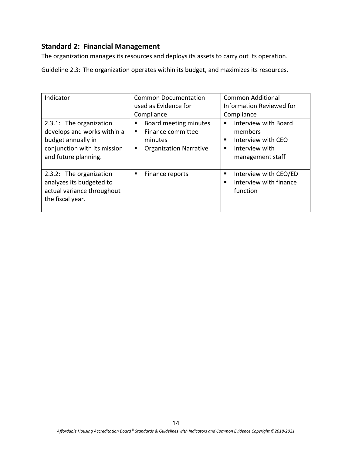The organization manages its resources and deploys its assets to carry out its operation.

Guideline 2.3: The organization operates within its budget, and maximizes its resources.

| Indicator<br>2.3.1: The organization<br>develops and works within a<br>budget annually in<br>conjunction with its mission<br>and future planning. | <b>Common Documentation</b><br>used as Evidence for<br>Compliance<br>Board meeting minutes<br>■<br>Finance committee<br>minutes<br><b>Organization Narrative</b><br>٠ | <b>Common Additional</b><br><b>Information Reviewed for</b><br>Compliance<br>Interview with Board<br>members<br>Interview with CEO<br>п<br>Interview with<br>management staff |
|---------------------------------------------------------------------------------------------------------------------------------------------------|-----------------------------------------------------------------------------------------------------------------------------------------------------------------------|-------------------------------------------------------------------------------------------------------------------------------------------------------------------------------|
| 2.3.2: The organization<br>analyzes its budgeted to<br>actual variance throughout<br>the fiscal year.                                             | Finance reports<br>п                                                                                                                                                  | Interview with CEO/ED<br>п<br>Interview with finance<br>function                                                                                                              |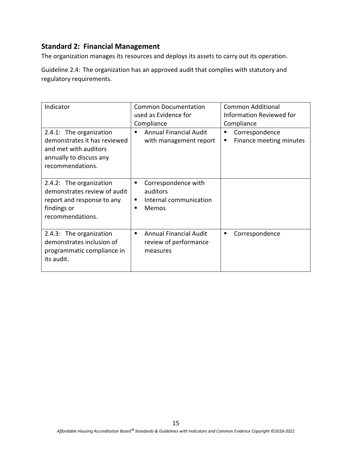The organization manages its resources and deploys its assets to carry out its operation.

Guideline 2.4: The organization has an approved audit that complies with statutory and regulatory requirements.

| Indicator                                                                                                                       | <b>Common Documentation</b><br>used as Evidence for<br>Compliance            | Common Additional<br>Information Reviewed for<br>Compliance |
|---------------------------------------------------------------------------------------------------------------------------------|------------------------------------------------------------------------------|-------------------------------------------------------------|
| 2.4.1: The organization<br>demonstrates it has reviewed<br>and met with auditors<br>annually to discuss any<br>recommendations. | <b>Annual Financial Audit</b><br>with management report                      | Correspondence<br>п<br>Finance meeting minutes              |
| 2.4.2: The organization<br>demonstrates review of audit<br>report and response to any<br>findings or<br>recommendations.        | Correspondence with<br>٠<br>auditors<br>Internal communication<br>٠<br>Memos |                                                             |
| 2.4.3: The organization<br>demonstrates inclusion of<br>programmatic compliance in<br>its audit.                                | <b>Annual Financial Audit</b><br>٠<br>review of performance<br>measures      | Correspondence<br>п                                         |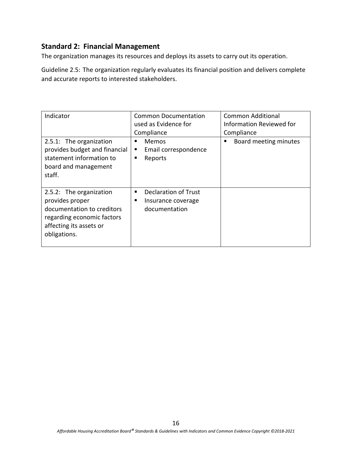The organization manages its resources and deploys its assets to carry out its operation.

Guideline 2.5: The organization regularly evaluates its financial position and delivers complete and accurate reports to interested stakeholders.

| Indicator<br>2.5.1: The organization<br>provides budget and financial<br>statement information to<br>board and management<br>staff.               | <b>Common Documentation</b><br>used as Evidence for<br>Compliance<br>Memos<br>Email correspondence<br>п<br>Reports<br>п | <b>Common Additional</b><br><b>Information Reviewed for</b><br>Compliance<br>Board meeting minutes<br>п |
|---------------------------------------------------------------------------------------------------------------------------------------------------|-------------------------------------------------------------------------------------------------------------------------|---------------------------------------------------------------------------------------------------------|
| 2.5.2: The organization<br>provides proper<br>documentation to creditors<br>regarding economic factors<br>affecting its assets or<br>obligations. | Declaration of Trust<br>п<br>Insurance coverage<br>documentation                                                        |                                                                                                         |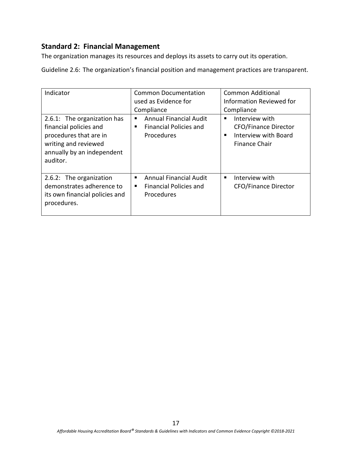The organization manages its resources and deploys its assets to carry out its operation.

Guideline 2.6: The organization's financial position and management practices are transparent.

| Indicator<br>2.6.1: The organization has<br>financial policies and<br>procedures that are in<br>writing and reviewed | <b>Common Documentation</b><br>used as Evidence for<br>Compliance<br><b>Annual Financial Audit</b><br><b>Financial Policies and</b><br>Procedures | <b>Common Additional</b><br><b>Information Reviewed for</b><br>Compliance<br>Interview with<br><b>CFO/Finance Director</b><br>Interview with Board<br><b>Finance Chair</b> |
|----------------------------------------------------------------------------------------------------------------------|---------------------------------------------------------------------------------------------------------------------------------------------------|----------------------------------------------------------------------------------------------------------------------------------------------------------------------------|
| annually by an independent<br>auditor.                                                                               | п                                                                                                                                                 |                                                                                                                                                                            |
| 2.6.2: The organization<br>demonstrates adherence to<br>its own financial policies and<br>procedures.                | <b>Annual Financial Audit</b><br><b>Financial Policies and</b><br>п<br>Procedures                                                                 | Interview with<br><b>CFO/Finance Director</b>                                                                                                                              |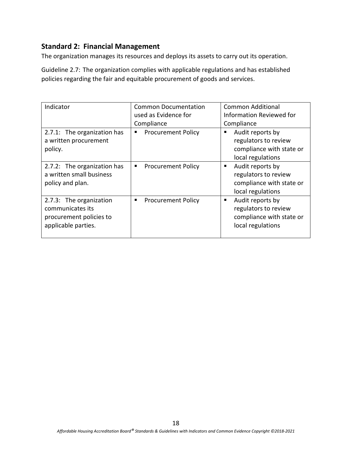The organization manages its resources and deploys its assets to carry out its operation.

Guideline 2.7: The organization complies with applicable regulations and has established policies regarding the fair and equitable procurement of goods and services.

| Indicator                                                                                     | <b>Common Documentation</b><br>used as Evidence for | <b>Common Additional</b><br>Information Reviewed for                                           |
|-----------------------------------------------------------------------------------------------|-----------------------------------------------------|------------------------------------------------------------------------------------------------|
|                                                                                               | Compliance                                          | Compliance                                                                                     |
| 2.7.1: The organization has<br>a written procurement<br>policy.                               | <b>Procurement Policy</b>                           | Audit reports by<br>п<br>regulators to review<br>compliance with state or<br>local regulations |
| 2.7.2: The organization has<br>a written small business<br>policy and plan.                   | <b>Procurement Policy</b><br>ш                      | Audit reports by<br>٠<br>regulators to review<br>compliance with state or<br>local regulations |
| 2.7.3: The organization<br>communicates its<br>procurement policies to<br>applicable parties. | <b>Procurement Policy</b><br>▪                      | Audit reports by<br>٠<br>regulators to review<br>compliance with state or<br>local regulations |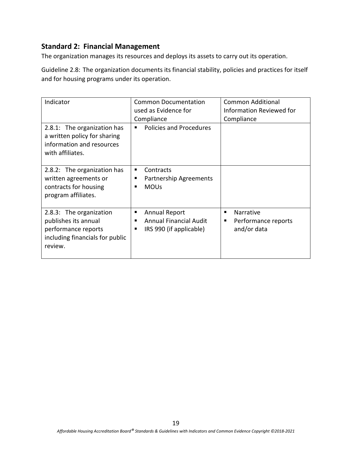The organization manages its resources and deploys its assets to carry out its operation.

Guideline 2.8: The organization documents its financial stability, policies and practices for itself and for housing programs under its operation.

| Indicator                                                                                                            | <b>Common Documentation</b><br>used as Evidence for<br>Compliance                               | <b>Common Additional</b><br>Information Reviewed for<br>Compliance |
|----------------------------------------------------------------------------------------------------------------------|-------------------------------------------------------------------------------------------------|--------------------------------------------------------------------|
| 2.8.1: The organization has<br>a written policy for sharing<br>information and resources<br>with affiliates.         | Policies and Procedures<br>п                                                                    |                                                                    |
| 2.8.2: The organization has<br>written agreements or<br>contracts for housing<br>program affiliates.                 | Contracts<br>٠<br>Partnership Agreements<br>п<br><b>MOUs</b><br>п                               |                                                                    |
| 2.8.3: The organization<br>publishes its annual<br>performance reports<br>including financials for public<br>review. | <b>Annual Report</b><br>ш<br><b>Annual Financial Audit</b><br>п<br>IRS 990 (if applicable)<br>٠ | Narrative<br>Performance reports<br>п<br>and/or data               |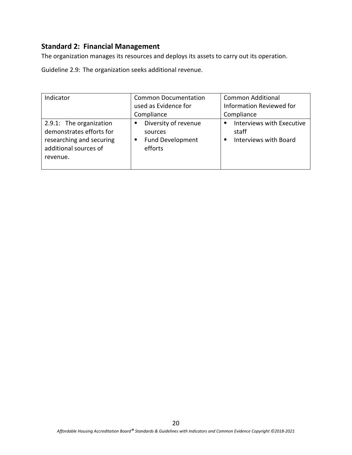The organization manages its resources and deploys its assets to carry out its operation.

Guideline 2.9: The organization seeks additional revenue.

| Indicator                                                                                                            | <b>Common Documentation</b>                                                     | <b>Common Additional</b>                                    |
|----------------------------------------------------------------------------------------------------------------------|---------------------------------------------------------------------------------|-------------------------------------------------------------|
|                                                                                                                      | used as Evidence for                                                            | Information Reviewed for                                    |
|                                                                                                                      | Compliance                                                                      | Compliance                                                  |
| 2.9.1: The organization<br>demonstrates efforts for<br>researching and securing<br>additional sources of<br>revenue. | Diversity of revenue<br>п<br>sources<br><b>Fund Development</b><br>Е<br>efforts | Interviews with Executive<br>staff<br>Interviews with Board |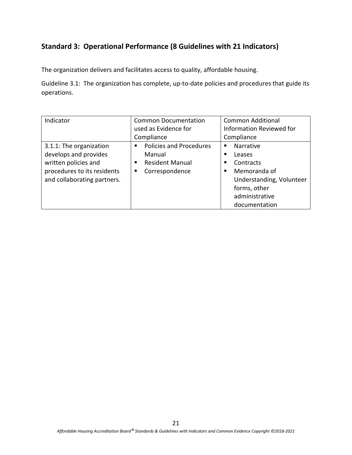### **Standard 3: Operational Performance (8 Guidelines with 21 Indicators)**

The organization delivers and facilitates access to quality, affordable housing.

Guideline 3.1: The organization has complete, up-to-date policies and procedures that guide its operations.

| Indicator                   | <b>Common Documentation</b> | <b>Common Additional</b>        |
|-----------------------------|-----------------------------|---------------------------------|
|                             | used as Evidence for        | <b>Information Reviewed for</b> |
|                             | Compliance                  | Compliance                      |
| 3.1.1: The organization     | Policies and Procedures     | <b>Narrative</b><br>п           |
| develops and provides       | Manual                      | Leases<br>■                     |
| written policies and        | <b>Resident Manual</b>      | Contracts<br>п                  |
| procedures to its residents | Correspondence<br>п         | Memoranda of<br>п               |
| and collaborating partners. |                             | Understanding, Volunteer        |
|                             |                             | forms, other                    |
|                             |                             | administrative                  |
|                             |                             | documentation                   |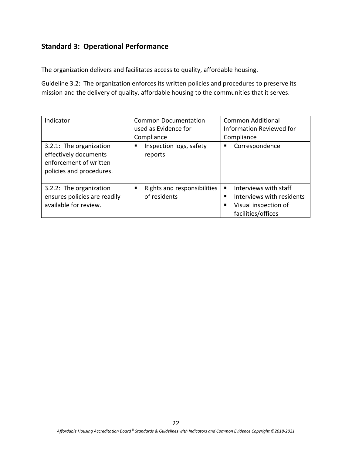The organization delivers and facilitates access to quality, affordable housing.

Guideline 3.2: The organization enforces its written policies and procedures to preserve its mission and the delivery of quality, affordable housing to the communities that it serves.

| Indicator                                                                                              | Common Documentation<br>used as Evidence for<br>Compliance | <b>Common Additional</b><br><b>Information Reviewed for</b><br>Compliance                             |
|--------------------------------------------------------------------------------------------------------|------------------------------------------------------------|-------------------------------------------------------------------------------------------------------|
| 3.2.1: The organization<br>effectively documents<br>enforcement of written<br>policies and procedures. | Inspection logs, safety<br>reports                         | Correspondence<br>п                                                                                   |
| 3.2.2: The organization<br>ensures policies are readily<br>available for review.                       | Rights and responsibilities<br>п<br>of residents           | Interviews with staff<br>٠<br>Interviews with residents<br>Visual inspection of<br>facilities/offices |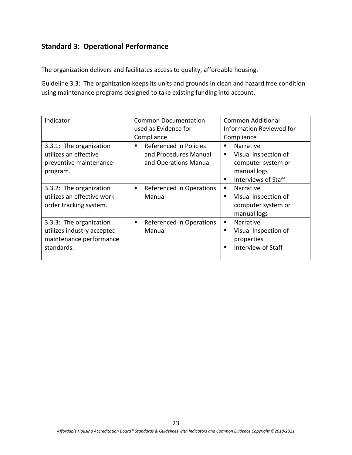The organization delivers and facilitates access to quality, affordable housing.

Guideline 3.3: The organization keeps its units and grounds in clean and hazard free condition using maintenance programs designed to take existing funding into account.

| Indicator                  | <b>Common Documentation</b>   | <b>Common Additional</b>           |
|----------------------------|-------------------------------|------------------------------------|
|                            | used as Evidence for          | Information Reviewed for           |
|                            | Compliance                    | Compliance                         |
| 3.3.1: The organization    | Referenced in Policies        | <b>Narrative</b><br>٠              |
| utilizes an effective      | and Procedures Manual         | Visual inspection of<br>٠          |
| preventive maintenance     | and Operations Manual         | computer system or                 |
| program.                   |                               | manual logs                        |
|                            |                               | Interviews of Staff                |
| 3.3.2: The organization    | Referenced in Operations<br>п | Narrative<br>п.                    |
| utilizes an effective work | Manual                        | Visual inspection of               |
| order tracking system.     |                               | computer system or                 |
|                            |                               | manual logs                        |
| 3.3.3: The organization    | Referenced in Operations<br>٠ | <b>Narrative</b><br>$\blacksquare$ |
| utilizes industry accepted | Manual                        | Visual Inspection of<br>п          |
| maintenance performance    |                               | properties                         |
| standards.                 |                               | Interview of Staff<br>٠            |
|                            |                               |                                    |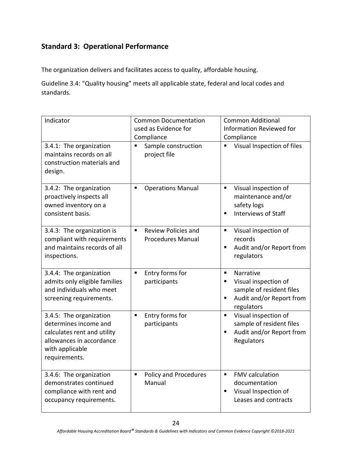The organization delivers and facilitates access to quality, affordable housing.

Guideline 3.4: "Quality housing" meets all applicable state, federal and local codes and standards.

| Indicator                                                                                                                                       | <b>Common Documentation</b><br>used as Evidence for<br>Compliance        | <b>Common Additional</b><br><b>Information Reviewed for</b><br>Compliance                                                           |
|-------------------------------------------------------------------------------------------------------------------------------------------------|--------------------------------------------------------------------------|-------------------------------------------------------------------------------------------------------------------------------------|
| 3.4.1: The organization<br>maintains records on all<br>construction materials and<br>design.                                                    | Sample construction<br>п<br>project file                                 | Visual Inspection of files                                                                                                          |
| 3.4.2: The organization<br>proactively inspects all<br>owned inventory on a<br>consistent basis.                                                | <b>Operations Manual</b><br>٠                                            | Visual inspection of<br>$\blacksquare$<br>maintenance and/or<br>safety logs<br><b>Interviews of Staff</b><br>$\blacksquare$         |
| 3.4.3: The organization is<br>compliant with requirements<br>and maintains records of all<br>inspections.                                       | <b>Review Policies and</b><br>$\blacksquare$<br><b>Procedures Manual</b> | Visual inspection of<br>$\blacksquare$<br>records<br>Audit and/or Report from<br>$\blacksquare$<br>regulators                       |
| 3.4.4: The organization<br>admits only eligible families<br>and individuals who meet<br>screening requirements.                                 | Entry forms for<br>Ξ<br>participants                                     | Narrative<br>٠<br>Visual inspection of<br>٠<br>sample of resident files<br>Audit and/or Report from<br>$\blacksquare$<br>regulators |
| 3.4.5: The organization<br>determines income and<br>calculates rent and utility<br>allowances in accordance<br>with applicable<br>requirements. | Entry forms for<br>Ξ<br>participants                                     | Visual inspection of<br>$\blacksquare$<br>sample of resident files<br>Audit and/or Report from<br>Regulators                        |
| 3.4.6: The organization<br>demonstrates continued<br>compliance with rent and<br>occupancy requirements.                                        | Policy and Procedures<br>Π<br>Manual                                     | <b>FMV</b> calculation<br>$\blacksquare$<br>documentation<br>Visual Inspection of<br>Leases and contracts                           |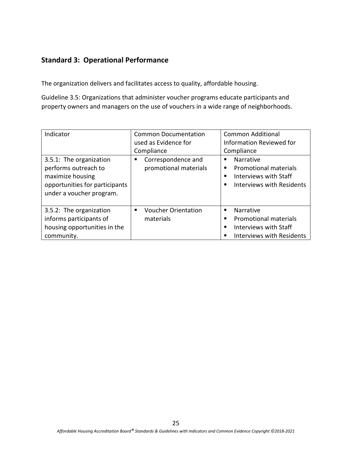The organization delivers and facilitates access to quality, affordable housing.

Guideline 3.5: Organizations that administer voucher programs educate participants and property owners and managers on the use of vouchers in a wide range of neighborhoods.

| Indicator                                                                                                                         | <b>Common Documentation</b><br>used as Evidence for<br>Compliance | <b>Common Additional</b><br><b>Information Reviewed for</b><br>Compliance                                          |
|-----------------------------------------------------------------------------------------------------------------------------------|-------------------------------------------------------------------|--------------------------------------------------------------------------------------------------------------------|
| 3.5.1: The organization<br>performs outreach to<br>maximize housing<br>opportunities for participants<br>under a voucher program. | Correspondence and<br>promotional materials                       | Narrative<br><b>Promotional materials</b><br>п<br>Interviews with Staff<br>Interviews with Residents               |
| 3.5.2: The organization<br>informs participants of<br>housing opportunities in the<br>community.                                  | <b>Voucher Orientation</b><br>٠<br>materials                      | <b>Narrative</b><br>٠<br><b>Promotional materials</b><br>Interviews with Staff<br><b>Interviews with Residents</b> |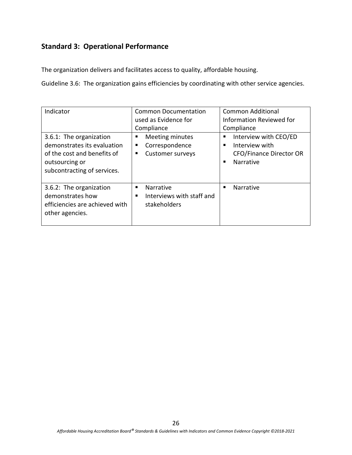The organization delivers and facilitates access to quality, affordable housing.

Guideline 3.6: The organization gains efficiencies by coordinating with other service agencies.

| Indicator<br>3.6.1: The organization<br>demonstrates its evaluation<br>of the cost and benefits of<br>outsourcing or<br>subcontracting of services. | <b>Common Documentation</b><br>used as Evidence for<br>Compliance<br>Meeting minutes<br>٠<br>Correspondence<br>п<br><b>Customer surveys</b><br>٠ | Common Additional<br><b>Information Reviewed for</b><br>Compliance<br>Interview with CEO/ED<br>٠<br>Interview with<br>٠<br><b>CFO/Finance Director OR</b><br>Narrative<br>٠ |
|-----------------------------------------------------------------------------------------------------------------------------------------------------|--------------------------------------------------------------------------------------------------------------------------------------------------|-----------------------------------------------------------------------------------------------------------------------------------------------------------------------------|
| 3.6.2: The organization<br>demonstrates how<br>efficiencies are achieved with<br>other agencies.                                                    | Narrative<br>Interviews with staff and<br>٠<br>stakeholders                                                                                      | Narrative<br>п                                                                                                                                                              |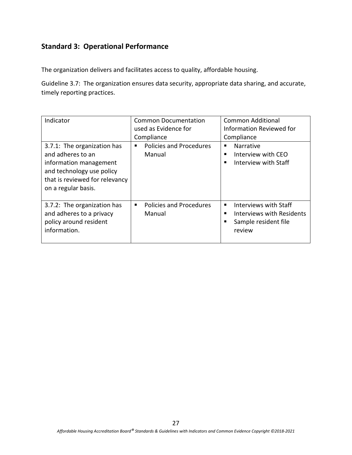The organization delivers and facilitates access to quality, affordable housing.

Guideline 3.7: The organization ensures data security, appropriate data sharing, and accurate, timely reporting practices.

| Indicator                                                                                                                                                        | <b>Common Documentation</b><br>used as Evidence for<br>Compliance | <b>Common Additional</b><br><b>Information Reviewed for</b><br>Compliance            |
|------------------------------------------------------------------------------------------------------------------------------------------------------------------|-------------------------------------------------------------------|--------------------------------------------------------------------------------------|
| 3.7.1: The organization has<br>and adheres to an<br>information management<br>and technology use policy<br>that is reviewed for relevancy<br>on a regular basis. | <b>Policies and Procedures</b><br>Manual                          | <b>Narrative</b><br>٠<br>Interview with CEO<br>■<br>Interview with Staff             |
| 3.7.2: The organization has<br>and adheres to a privacy<br>policy around resident<br>information.                                                                | <b>Policies and Procedures</b><br>Manual                          | Interviews with Staff<br>Interviews with Residents<br>Sample resident file<br>review |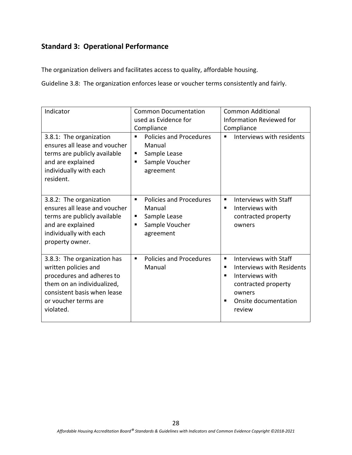The organization delivers and facilitates access to quality, affordable housing.

Guideline 3.8: The organization enforces lease or voucher terms consistently and fairly.

| Indicator                                                                                                                                                                          | <b>Common Documentation</b>                                                                            | <b>Common Additional</b>                                                                                                                                            |
|------------------------------------------------------------------------------------------------------------------------------------------------------------------------------------|--------------------------------------------------------------------------------------------------------|---------------------------------------------------------------------------------------------------------------------------------------------------------------------|
|                                                                                                                                                                                    | used as Evidence for                                                                                   | Information Reviewed for                                                                                                                                            |
|                                                                                                                                                                                    | Compliance                                                                                             | Compliance                                                                                                                                                          |
| 3.8.1: The organization<br>ensures all lease and voucher<br>terms are publicly available<br>and are explained<br>individually with each<br>resident.                               | <b>Policies and Procedures</b><br>٠<br>Manual<br>Sample Lease<br>п<br>Sample Voucher<br>٠<br>agreement | Interviews with residents<br>٠                                                                                                                                      |
| 3.8.2: The organization<br>ensures all lease and voucher<br>terms are publicly available<br>and are explained<br>individually with each<br>property owner.                         | <b>Policies and Procedures</b><br>٠<br>Manual<br>Sample Lease<br>п<br>Sample Voucher<br>٠<br>agreement | Interviews with Staff<br>٠<br>Interviews with<br>٠<br>contracted property<br>owners                                                                                 |
| 3.8.3: The organization has<br>written policies and<br>procedures and adheres to<br>them on an individualized,<br>consistent basis when lease<br>or voucher terms are<br>violated. | <b>Policies and Procedures</b><br>٠<br>Manual                                                          | <b>Interviews with Staff</b><br>٠<br>Interviews with Residents<br>٠<br>Interviews with<br>٠<br>contracted property<br>owners<br>Onsite documentation<br>٠<br>review |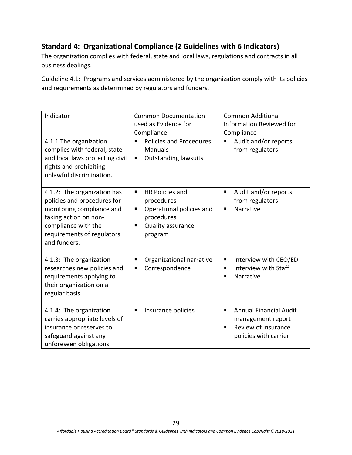# **Standard 4: Organizational Compliance (2 Guidelines with 6 Indicators)**

The organization complies with federal, state and local laws, regulations and contracts in all business dealings.

Guideline 4.1: Programs and services administered by the organization comply with its policies and requirements as determined by regulators and funders.

| Indicator                                                                                                                                                                             | <b>Common Documentation</b><br>used as Evidence for<br>Compliance                                                             | <b>Common Additional</b><br><b>Information Reviewed for</b><br>Compliance                                                 |
|---------------------------------------------------------------------------------------------------------------------------------------------------------------------------------------|-------------------------------------------------------------------------------------------------------------------------------|---------------------------------------------------------------------------------------------------------------------------|
| 4.1.1 The organization<br>complies with federal, state<br>and local laws protecting civil<br>rights and prohibiting<br>unlawful discrimination.                                       | Policies and Procedures<br>٠<br><b>Manuals</b><br><b>Outstanding lawsuits</b><br>п                                            | Audit and/or reports<br>from regulators                                                                                   |
| 4.1.2: The organization has<br>policies and procedures for<br>monitoring compliance and<br>taking action on non-<br>compliance with the<br>requirements of regulators<br>and funders. | <b>HR Policies and</b><br>٠<br>procedures<br>Operational policies and<br>٠<br>procedures<br>Quality assurance<br>٠<br>program | Audit and/or reports<br>п<br>from regulators<br>Narrative<br>٠                                                            |
| 4.1.3: The organization<br>researches new policies and<br>requirements applying to<br>their organization on a<br>regular basis.                                                       | Organizational narrative<br>٠<br>Correspondence<br>п                                                                          | Interview with CEO/ED<br>п<br>Interview with Staff<br>п<br>Narrative<br>п                                                 |
| 4.1.4: The organization<br>carries appropriate levels of<br>insurance or reserves to<br>safeguard against any<br>unforeseen obligations.                                              | Insurance policies<br>п                                                                                                       | <b>Annual Financial Audit</b><br>$\blacksquare$<br>management report<br>Review of insurance<br>٠<br>policies with carrier |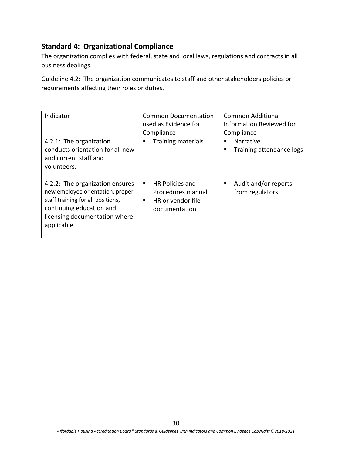### **Standard 4: Organizational Compliance**

The organization complies with federal, state and local laws, regulations and contracts in all business dealings.

Guideline 4.2: The organization communicates to staff and other stakeholders policies or requirements affecting their roles or duties.

| Indicator                                                                                                                                                                            | <b>Common Documentation</b><br>used as Evidence for<br>Compliance                           | <b>Common Additional</b><br>Information Reviewed for<br>Compliance |
|--------------------------------------------------------------------------------------------------------------------------------------------------------------------------------------|---------------------------------------------------------------------------------------------|--------------------------------------------------------------------|
| 4.2.1: The organization<br>conducts orientation for all new<br>and current staff and<br>volunteers.                                                                                  | <b>Training materials</b><br>п                                                              | <b>Narrative</b><br>п<br>Training attendance logs<br>п             |
| 4.2.2: The organization ensures<br>new employee orientation, proper<br>staff training for all positions,<br>continuing education and<br>licensing documentation where<br>applicable. | <b>HR Policies and</b><br>٠<br>Procedures manual<br>HR or vendor file<br>п<br>documentation | Audit and/or reports<br>п<br>from regulators                       |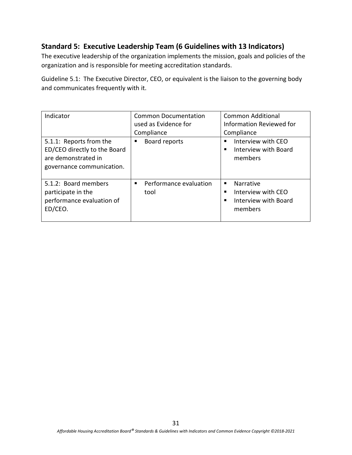### **Standard 5: Executive Leadership Team (6 Guidelines with 13 Indicators)**

The executive leadership of the organization implements the mission, goals and policies of the organization and is responsible for meeting accreditation standards.

Guideline 5.1: The Executive Director, CEO, or equivalent is the liaison to the governing body and communicates frequently with it.

| Indicator                                                                                                   | <b>Common Documentation</b><br>used as Evidence for<br>Compliance | <b>Common Additional</b><br>Information Reviewed for<br>Compliance       |
|-------------------------------------------------------------------------------------------------------------|-------------------------------------------------------------------|--------------------------------------------------------------------------|
| 5.1.1: Reports from the<br>ED/CEO directly to the Board<br>are demonstrated in<br>governance communication. | Board reports                                                     | Interview with CEO<br>Interview with Board<br>members                    |
| 5.1.2: Board members<br>participate in the<br>performance evaluation of<br>ED/CEO.                          | Performance evaluation<br>tool                                    | Narrative<br>п.<br>Interview with CEO<br>Interview with Board<br>members |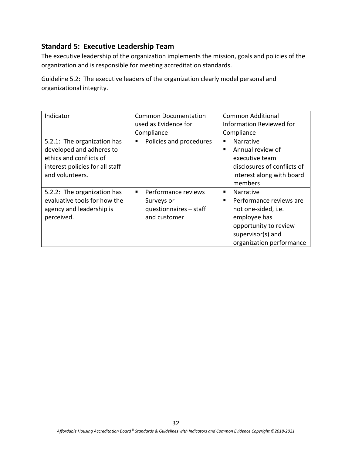The executive leadership of the organization implements the mission, goals and policies of the organization and is responsible for meeting accreditation standards.

Guideline 5.2: The executive leaders of the organization clearly model personal and organizational integrity.

| Indicator                       | <b>Common Documentation</b>  | <b>Common Additional</b>    |
|---------------------------------|------------------------------|-----------------------------|
|                                 | used as Evidence for         | Information Reviewed for    |
|                                 | Compliance                   | Compliance                  |
| 5.2.1: The organization has     | Policies and procedures<br>٠ | <b>Narrative</b>            |
| developed and adheres to        |                              | Annual review of<br>٠       |
| ethics and conflicts of         |                              | executive team              |
| interest policies for all staff |                              | disclosures of conflicts of |
| and volunteers.                 |                              | interest along with board   |
|                                 |                              | members                     |
| 5.2.2: The organization has     | Performance reviews<br>٠     | Narrative                   |
| evaluative tools for how the    | Surveys or                   | Performance reviews are     |
| agency and leadership is        | questionnaires - staff       | not one-sided, i.e.         |
| perceived.                      | and customer                 | employee has                |
|                                 |                              | opportunity to review       |
|                                 |                              | supervisor(s) and           |
|                                 |                              | organization performance    |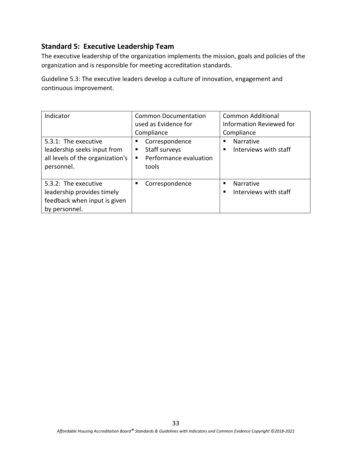The executive leadership of the organization implements the mission, goals and policies of the organization and is responsible for meeting accreditation standards.

Guideline 5.3: The executive leaders develop a culture of innovation, engagement and continuous improvement.

| Indicator                                                                                             | Common Documentation<br>used as Evidence for<br>Compliance                                | Common Additional<br>Information Reviewed for<br>Compliance |
|-------------------------------------------------------------------------------------------------------|-------------------------------------------------------------------------------------------|-------------------------------------------------------------|
| 5.3.1: The executive<br>leadership seeks input from<br>all levels of the organization's<br>personnel. | Correspondence<br>Staff surveys<br>п<br>Performance evaluation<br>$\blacksquare$<br>tools | Narrative<br>Interviews with staff                          |
| 5.3.2: The executive<br>leadership provides timely<br>feedback when input is given<br>by personnel.   | Correspondence<br>п                                                                       | <b>Narrative</b><br>Interviews with staff                   |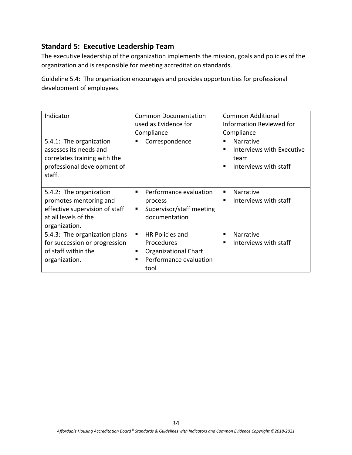The executive leadership of the organization implements the mission, goals and policies of the organization and is responsible for meeting accreditation standards.

Guideline 5.4: The organization encourages and provides opportunities for professional development of employees.

| Indicator                                                                                                                    | <b>Common Documentation</b><br>used as Evidence for<br>Compliance                                      | <b>Common Additional</b><br>Information Reviewed for<br>Compliance           |
|------------------------------------------------------------------------------------------------------------------------------|--------------------------------------------------------------------------------------------------------|------------------------------------------------------------------------------|
| 5.4.1: The organization<br>assesses its needs and<br>correlates training with the<br>professional development of<br>staff.   | Correspondence<br>п                                                                                    | Narrative<br>Interviews with Executive<br>▬<br>team<br>Interviews with staff |
| 5.4.2: The organization<br>promotes mentoring and<br>effective supervision of staff<br>at all levels of the<br>organization. | Performance evaluation<br>п<br>process<br>Supervisor/staff meeting<br>٠<br>documentation               | Narrative<br>٠<br>Interviews with staff                                      |
| 5.4.3: The organization plans<br>for succession or progression<br>of staff within the<br>organization.                       | HR Policies and<br>п<br>Procedures<br>Organizational Chart<br>п<br>Performance evaluation<br>п<br>tool | Narrative<br>п<br>Interviews with staff<br>■                                 |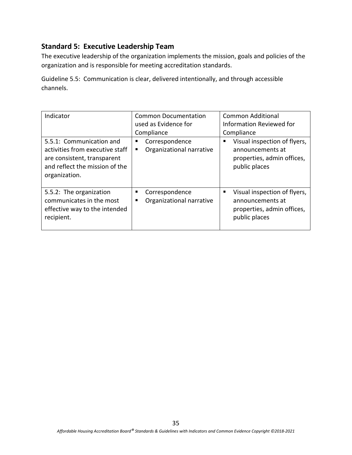The executive leadership of the organization implements the mission, goals and policies of the organization and is responsible for meeting accreditation standards.

Guideline 5.5: Communication is clear, delivered intentionally, and through accessible channels.

| Indicator<br>5.5.1: Communication and                                                                             | <b>Common Documentation</b><br>used as Evidence for<br>Compliance<br>п | <b>Common Additional</b><br>Information Reviewed for<br>Compliance                                    |
|-------------------------------------------------------------------------------------------------------------------|------------------------------------------------------------------------|-------------------------------------------------------------------------------------------------------|
| activities from executive staff<br>are consistent, transparent<br>and reflect the mission of the<br>organization. | Correspondence<br>Organizational narrative<br>п                        | Visual inspection of flyers,<br>announcements at<br>properties, admin offices,<br>public places       |
| 5.5.2: The organization<br>communicates in the most<br>effective way to the intended<br>recipient.                | Correspondence<br>п<br>Organizational narrative<br>п                   | Visual inspection of flyers,<br>л.<br>announcements at<br>properties, admin offices,<br>public places |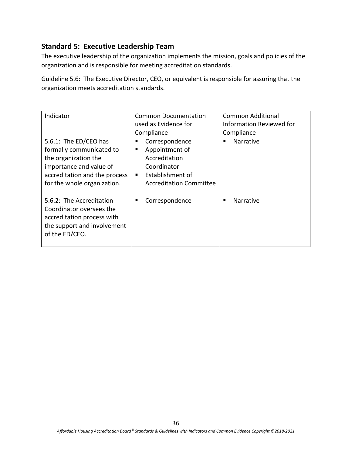The executive leadership of the organization implements the mission, goals and policies of the organization and is responsible for meeting accreditation standards.

Guideline 5.6: The Executive Director, CEO, or equivalent is responsible for assuring that the organization meets accreditation standards.

| Indicator                                                                                                                                                            | <b>Common Documentation</b><br>used as Evidence for                                                                              | Common Additional<br>Information Reviewed for |
|----------------------------------------------------------------------------------------------------------------------------------------------------------------------|----------------------------------------------------------------------------------------------------------------------------------|-----------------------------------------------|
|                                                                                                                                                                      | Compliance                                                                                                                       | Compliance                                    |
| 5.6.1: The ED/CEO has<br>formally communicated to<br>the organization the<br>importance and value of<br>accreditation and the process<br>for the whole organization. | Correspondence<br>п<br>Appointment of<br>п<br>Accreditation<br>Coordinator<br>Establishment of<br><b>Accreditation Committee</b> | <b>Narrative</b>                              |
| 5.6.2: The Accreditation<br>Coordinator oversees the<br>accreditation process with<br>the support and involvement<br>of the ED/CEO.                                  | Correspondence<br>п                                                                                                              | Narrative                                     |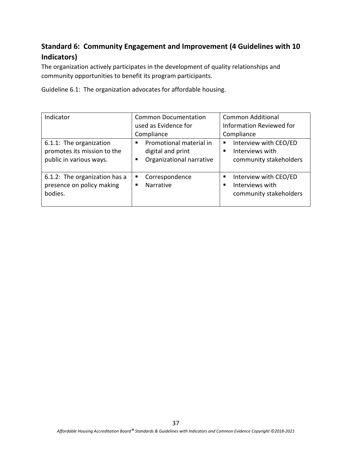# **Standard 6: Community Engagement and Improvement (4 Guidelines with 10 Indicators)**

The organization actively participates in the development of quality relationships and community opportunities to benefit its program participants.

Guideline 6.1: The organization advocates for affordable housing.

| Indicator                                                                         | <b>Common Documentation</b><br>used as Evidence for<br>Compliance                  | <b>Common Additional</b><br><b>Information Reviewed for</b><br>Compliance |
|-----------------------------------------------------------------------------------|------------------------------------------------------------------------------------|---------------------------------------------------------------------------|
| 6.1.1: The organization<br>promotes its mission to the<br>public in various ways. | Promotional material in<br>п<br>digital and print<br>Organizational narrative<br>٠ | Interview with CEO/ED<br>п<br>Interviews with<br>community stakeholders   |
| 6.1.2: The organization has a<br>presence on policy making<br>bodies.             | Correspondence<br>п<br>Narrative<br>٠                                              | Interview with CEO/ED<br>п<br>Interviews with<br>community stakeholders   |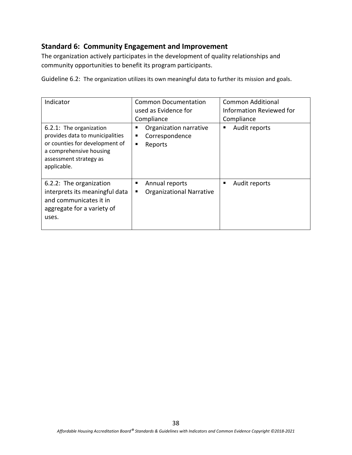### **Standard 6: Community Engagement and Improvement**

The organization actively participates in the development of quality relationships and community opportunities to benefit its program participants.

Guideline 6.2: The organization utilizes its own meaningful data to further its mission and goals.

| Indicator<br>6.2.1: The organization<br>provides data to municipalities<br>or counties for development of<br>a comprehensive housing<br>assessment strategy as<br>applicable. | <b>Common Documentation</b><br>used as Evidence for<br>Compliance<br>Organization narrative<br>٠<br>Correspondence<br>п<br>٠<br>Reports | <b>Common Additional</b><br>Information Reviewed for<br>Compliance<br>Audit reports<br>п |
|-------------------------------------------------------------------------------------------------------------------------------------------------------------------------------|-----------------------------------------------------------------------------------------------------------------------------------------|------------------------------------------------------------------------------------------|
| 6.2.2: The organization<br>interprets its meaningful data<br>and communicates it in<br>aggregate for a variety of<br>uses.                                                    | Annual reports<br>Е<br><b>Organizational Narrative</b><br>п                                                                             | Audit reports<br>п                                                                       |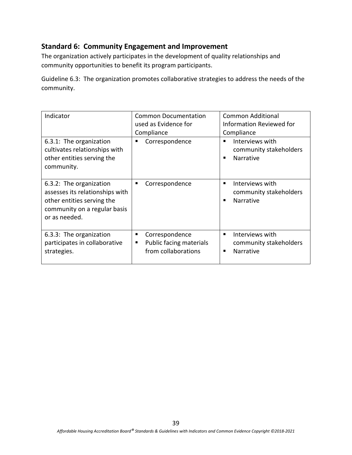### **Standard 6: Community Engagement and Improvement**

The organization actively participates in the development of quality relationships and community opportunities to benefit its program participants.

Guideline 6.3: The organization promotes collaborative strategies to address the needs of the community.

| Indicator                                                                                                                                 | <b>Common Documentation</b><br>used as Evidence for<br>Compliance          | Common Additional<br><b>Information Reviewed for</b><br>Compliance |
|-------------------------------------------------------------------------------------------------------------------------------------------|----------------------------------------------------------------------------|--------------------------------------------------------------------|
| 6.3.1: The organization<br>cultivates relationships with<br>other entities serving the<br>community.                                      | Correspondence<br>п                                                        | Interviews with<br>community stakeholders<br><b>Narrative</b>      |
| 6.3.2: The organization<br>assesses its relationships with<br>other entities serving the<br>community on a regular basis<br>or as needed. | Correspondence<br>п                                                        | Interviews with<br>community stakeholders<br>Narrative             |
| 6.3.3: The organization<br>participates in collaborative<br>strategies.                                                                   | Correspondence<br>Е<br>Public facing materials<br>п<br>from collaborations | Interviews with<br>٠<br>community stakeholders<br><b>Narrative</b> |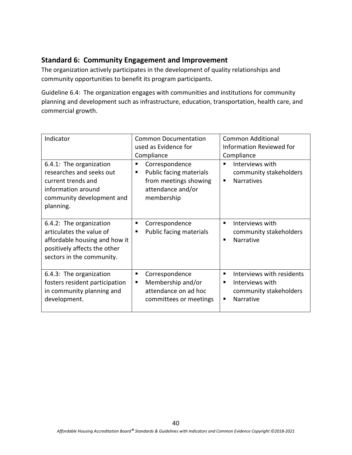### **Standard 6: Community Engagement and Improvement**

The organization actively participates in the development of quality relationships and community opportunities to benefit its program participants.

Guideline 6.4: The organization engages with communities and institutions for community planning and development such as infrastructure, education, transportation, health care, and commercial growth.

| Indicator                                                                                                                                         | <b>Common Documentation</b><br>used as Evidence for<br>Compliance                                               | <b>Common Additional</b><br>Information Reviewed for<br>Compliance                                   |
|---------------------------------------------------------------------------------------------------------------------------------------------------|-----------------------------------------------------------------------------------------------------------------|------------------------------------------------------------------------------------------------------|
| 6.4.1: The organization<br>researches and seeks out<br>current trends and<br>information around<br>community development and<br>planning.         | Correspondence<br>п<br>Public facing materials<br>п<br>from meetings showing<br>attendance and/or<br>membership | Interviews with<br>community stakeholders<br><b>Narratives</b><br>п                                  |
| 6.4.2: The organization<br>articulates the value of<br>affordable housing and how it<br>positively affects the other<br>sectors in the community. | Correspondence<br>п<br>Public facing materials<br>п                                                             | Interviews with<br>community stakeholders<br><b>Narrative</b><br>п                                   |
| 6.4.3: The organization<br>fosters resident participation<br>in community planning and<br>development.                                            | Correspondence<br>п<br>Membership and/or<br>٠<br>attendance on ad hoc<br>committees or meetings                 | Interviews with residents<br>п<br>Interviews with<br>community stakeholders<br><b>Narrative</b><br>п |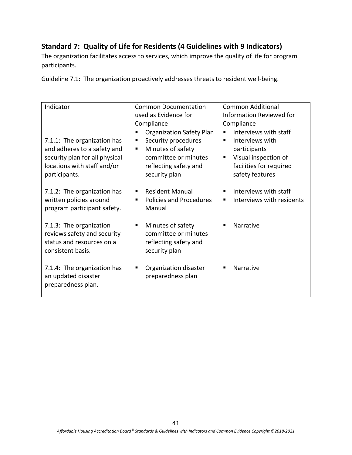# **Standard 7: Quality of Life for Residents (4 Guidelines with 9 Indicators)**

The organization facilitates access to services, which improve the quality of life for program participants.

Guideline 7.1: The organization proactively addresses threats to resident well-being.

| Indicator                                                                                                                                    | <b>Common Documentation</b><br>used as Evidence for                                                                                                          | Common Additional<br><b>Information Reviewed for</b>                                                                                     |
|----------------------------------------------------------------------------------------------------------------------------------------------|--------------------------------------------------------------------------------------------------------------------------------------------------------------|------------------------------------------------------------------------------------------------------------------------------------------|
|                                                                                                                                              |                                                                                                                                                              |                                                                                                                                          |
|                                                                                                                                              | Compliance                                                                                                                                                   | Compliance                                                                                                                               |
| 7.1.1: The organization has<br>and adheres to a safety and<br>security plan for all physical<br>locations with staff and/or<br>participants. | <b>Organization Safety Plan</b><br>٠<br>Security procedures<br>п<br>Minutes of safety<br>٠<br>committee or minutes<br>reflecting safety and<br>security plan | Interviews with staff<br>٠<br>Interviews with<br>participants<br>Visual inspection of<br>п<br>facilities for required<br>safety features |
| 7.1.2: The organization has<br>written policies around<br>program participant safety.                                                        | <b>Resident Manual</b><br>٠<br><b>Policies and Procedures</b><br>٠<br>Manual                                                                                 | Interviews with staff<br>Interviews with residents<br>٠                                                                                  |
| 7.1.3: The organization<br>reviews safety and security<br>status and resources on a<br>consistent basis.                                     | Minutes of safety<br>٠<br>committee or minutes<br>reflecting safety and<br>security plan                                                                     | Narrative<br>٠                                                                                                                           |
| 7.1.4: The organization has<br>an updated disaster<br>preparedness plan.                                                                     | Organization disaster<br>٠<br>preparedness plan                                                                                                              | Narrative<br>п                                                                                                                           |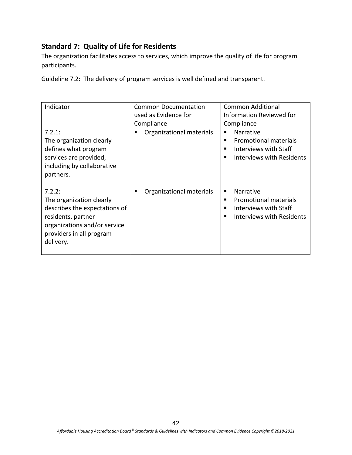### **Standard 7: Quality of Life for Residents**

The organization facilitates access to services, which improve the quality of life for program participants.

Guideline 7.2: The delivery of program services is well defined and transparent.

| Indicator<br>7.2.1:<br>The organization clearly<br>defines what program<br>services are provided,<br>including by collaborative                                                 | <b>Common Documentation</b><br>used as Evidence for<br>Compliance<br>Organizational materials | Common Additional<br>Information Reviewed for<br>Compliance<br><b>Narrative</b><br><b>Promotional materials</b><br>Interviews with Staff<br>Interviews with Residents |
|---------------------------------------------------------------------------------------------------------------------------------------------------------------------------------|-----------------------------------------------------------------------------------------------|-----------------------------------------------------------------------------------------------------------------------------------------------------------------------|
| partners.<br>7.2.2:<br>The organization clearly<br>describes the expectations of<br>residents, partner<br>organizations and/or service<br>providers in all program<br>delivery. | Organizational materials                                                                      | <b>Narrative</b><br>٠<br><b>Promotional materials</b><br>п<br>Interviews with Staff<br>▪<br>Interviews with Residents<br>▪                                            |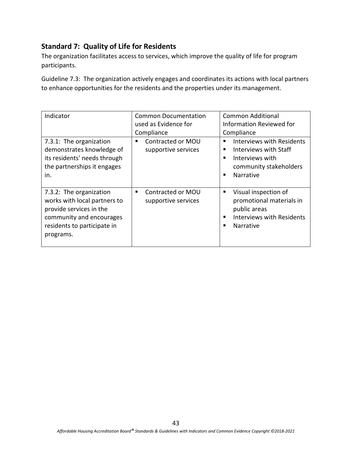### **Standard 7: Quality of Life for Residents**

The organization facilitates access to services, which improve the quality of life for program participants.

Guideline 7.3: The organization actively engages and coordinates its actions with local partners to enhance opportunities for the residents and the properties under its management.

| Indicator                                                                                                                                                  | <b>Common Documentation</b><br>used as Evidence for<br>Compliance | Common Additional<br>Information Reviewed for<br>Compliance                                                                                  |
|------------------------------------------------------------------------------------------------------------------------------------------------------------|-------------------------------------------------------------------|----------------------------------------------------------------------------------------------------------------------------------------------|
| 7.3.1: The organization<br>demonstrates knowledge of<br>its residents' needs through<br>the partnerships it engages<br>in.                                 | Contracted or MOU<br>supportive services                          | <b>Interviews with Residents</b><br>Interviews with Staff<br>Interviews with<br>community stakeholders<br><b>Narrative</b><br>$\blacksquare$ |
| 7.3.2: The organization<br>works with local partners to<br>provide services in the<br>community and encourages<br>residents to participate in<br>programs. | Contracted or MOU<br>п<br>supportive services                     | Visual inspection of<br>п<br>promotional materials in<br>public areas<br><b>Interviews with Residents</b><br><b>Narrative</b>                |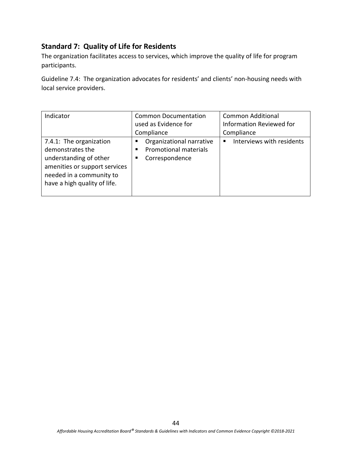### **Standard 7: Quality of Life for Residents**

The organization facilitates access to services, which improve the quality of life for program participants.

Guideline 7.4: The organization advocates for residents' and clients' non-housing needs with local service providers.

| Indicator                                                                                                                                                          | <b>Common Documentation</b>                                                               | <b>Common Additional</b>        |
|--------------------------------------------------------------------------------------------------------------------------------------------------------------------|-------------------------------------------------------------------------------------------|---------------------------------|
|                                                                                                                                                                    | used as Evidence for                                                                      | <b>Information Reviewed for</b> |
|                                                                                                                                                                    | Compliance                                                                                | Compliance                      |
| 7.4.1: The organization<br>demonstrates the<br>understanding of other<br>amenities or support services<br>needed in a community to<br>have a high quality of life. | Organizational narrative<br>п<br><b>Promotional materials</b><br>п<br>Correspondence<br>п | Interviews with residents<br>п  |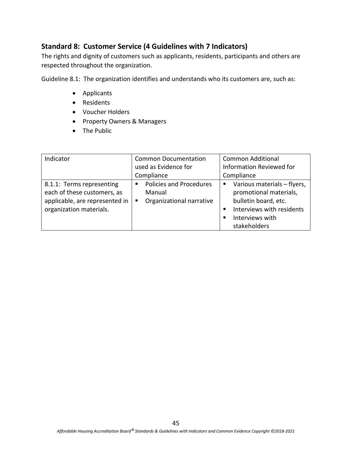### **Standard 8: Customer Service (4 Guidelines with 7 Indicators)**

The rights and dignity of customers such as applicants, residents, participants and others are respected throughout the organization.

Guideline 8.1: The organization identifies and understands who its customers are, such as:

- Applicants
- Residents
- Voucher Holders
- Property Owners & Managers
- The Public

| Indicator                                                                                                             | <b>Common Documentation</b>                                                    | <b>Common Additional</b>                                                                                                                      |
|-----------------------------------------------------------------------------------------------------------------------|--------------------------------------------------------------------------------|-----------------------------------------------------------------------------------------------------------------------------------------------|
|                                                                                                                       | used as Evidence for                                                           | <b>Information Reviewed for</b>                                                                                                               |
|                                                                                                                       | Compliance                                                                     | Compliance                                                                                                                                    |
| 8.1.1: Terms representing<br>each of these customers, as<br>applicable, are represented in<br>organization materials. | <b>Policies and Procedures</b><br>٠<br>Manual<br>Organizational narrative<br>п | Various materials - flyers,<br>promotional materials,<br>bulletin board, etc.<br>Interviews with residents<br>Interviews with<br>stakeholders |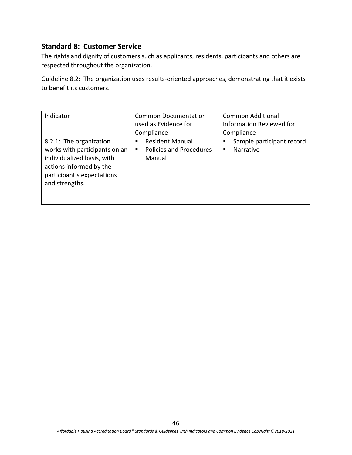#### **Standard 8: Customer Service**

The rights and dignity of customers such as applicants, residents, participants and others are respected throughout the organization.

Guideline 8.2: The organization uses results-oriented approaches, demonstrating that it exists to benefit its customers.

| Indicator                                                                                                                                                         | <b>Common Documentation</b><br>used as Evidence for<br>Compliance            | <b>Common Additional</b><br><b>Information Reviewed for</b><br>Compliance |
|-------------------------------------------------------------------------------------------------------------------------------------------------------------------|------------------------------------------------------------------------------|---------------------------------------------------------------------------|
| 8.2.1: The organization<br>works with participants on an<br>individualized basis, with<br>actions informed by the<br>participant's expectations<br>and strengths. | <b>Resident Manual</b><br>п<br><b>Policies and Procedures</b><br>٠<br>Manual | Sample participant record<br>Narrative                                    |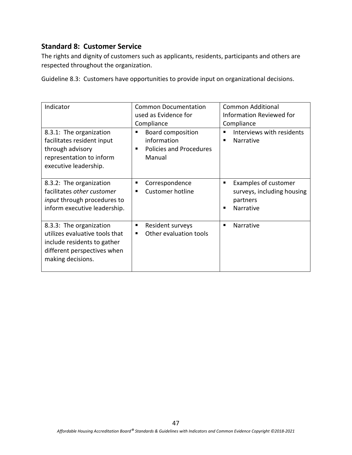### **Standard 8: Customer Service**

The rights and dignity of customers such as applicants, residents, participants and others are respected throughout the organization.

Guideline 8.3: Customers have opportunities to provide input on organizational decisions.

| Indicator<br>8.3.1: The organization<br>facilitates resident input<br>through advisory<br>representation to inform<br>executive leadership.  | <b>Common Documentation</b><br>used as Evidence for<br>Compliance<br><b>Board composition</b><br>П<br>information<br><b>Policies and Procedures</b><br>٠<br>Manual | <b>Common Additional</b><br>Information Reviewed for<br>Compliance<br>Interviews with residents<br>▪<br>Narrative<br>■ |
|----------------------------------------------------------------------------------------------------------------------------------------------|--------------------------------------------------------------------------------------------------------------------------------------------------------------------|------------------------------------------------------------------------------------------------------------------------|
| 8.3.2: The organization<br>facilitates other customer<br><i>input</i> through procedures to<br>inform executive leadership.                  | Correspondence<br>п<br><b>Customer hotline</b><br>п                                                                                                                | Examples of customer<br>п<br>surveys, including housing<br>partners<br>Narrative<br>■                                  |
| 8.3.3: The organization<br>utilizes evaluative tools that<br>include residents to gather<br>different perspectives when<br>making decisions. | Resident surveys<br>п<br>Other evaluation tools<br>п                                                                                                               | Narrative<br>п                                                                                                         |